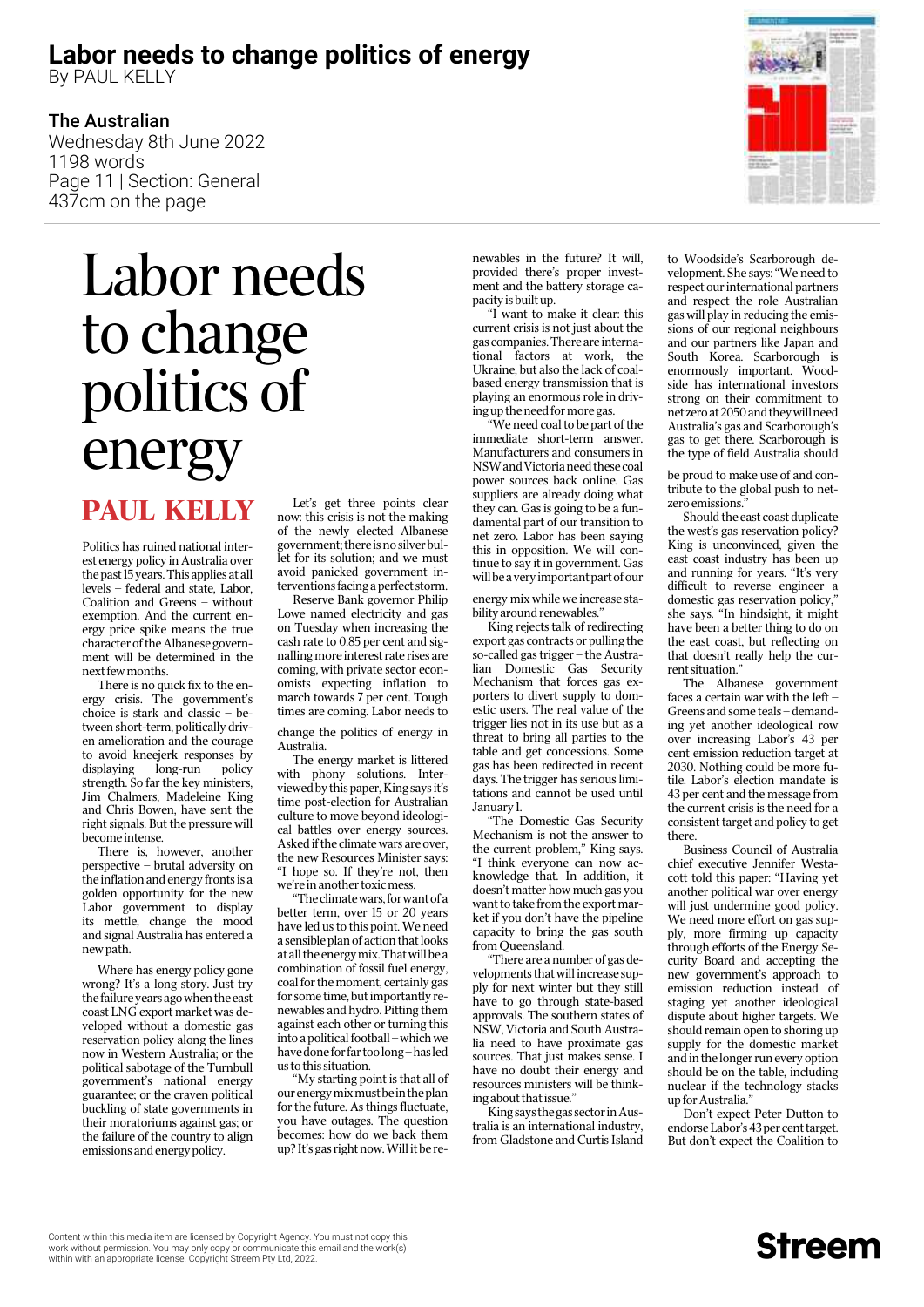### **Labor needs to change politics of energy**

By PAUL KELLY

#### The Australian

Wednesday 8th June 2022 1198 words Page 11 | Section: General 437cm on the page

# Labor needs to change politics of energy

### Paul Kelly

Politics has ruined national interest energy policy in Australia over the past 15 years. This applies at all levels – federal and state, Labor, Coalition and Greens – without exemption. And the current energy price spike means the true character of the Albanese government will be determined in the next few months.

There is no quick fix to the energy crisis. The government's choice is stark and classic – between short-term, politically driven amelioration and the courage to avoid kneejerk responses by displaying long-run policy strength. So far the key ministers, Jim Chalmers, Madeleine King and Chris Bowen, have sent the right signals. But the pressure will become intense.

There is, however, another perspective – brutal adversity on the inflation and energy fronts is a golden opportunity for the new Labor government to display its mettle, change the mood and signal Australia has entered a new path.

Where has energy policy gone wrong? It's a long story. Just try the failure years ago when the east coast LNG export market was developed without a domestic gas reservation policy along the lines now in Western Australia; or the political sabotage of the Turnbull government's national energy guarantee; or the craven political buckling of state governments in their moratoriums against gas; or the failure of the country to align emissions and energy policy.

Let's get three points clear now: this crisis is not the making of the newly elected Albanese government; there is no silver bullet for its solution; and we must avoid panicked government interventions facing a perfect storm.

Reserve Bank governor Philip Lowe named electricity and gas on Tuesday when increasing the cash rate to 0.85 per cent and signalling more interest rate rises are coming, with private sector economists expecting inflation to march towards 7 per cent. Tough times are coming. Labor needs to

change the politics of energy in Australia.

The energy market is littered with phony solutions. Interviewed by this paper, King says it's time post-election for Australian culture to move beyond ideological battles over energy sources. Asked if the climate wars are over, the new Resources Minister says: "I hope so. If they're not, then we're in another toxic mess.

"The climate wars, for want of a better term, over 15 or 20 years have led us to this point. We need a sensible plan of action that looks at all the energy mix. That will be a combination of fossil fuel energy, coal for the moment, certainly gas for some time, but importantly renewables and hydro. Pitting them against each other or turning this into a political football – which we have done for far too long – has led us to this situation.

"My starting point is that all of our energy mix must be in the plan for the future. As things fluctuate, you have outages. The question becomes: how do we back them up? It's gas right now. Will it be renewables in the future? It will, provided there's proper investment and the battery storage capacity is built up.

"I want to make it clear: this current crisis is not just about the gas companies. There are international factors at work, the Ukraine, but also the lack of coalbased energy transmission that is playing an enormous role in driving up the need for more gas.

"We need coal to be part of the immediate short-term answer. Manufacturers and consumers in NSW and Victoria need these coal power sources back online. Gas suppliers are already doing what they can. Gas is going to be a fundamental part of our transition to net zero. Labor has been saying this in opposition. We will continue to say it in government. Gas will be a very important part of our

energy mix while we increase stability around renewables.

King rejects talk of redirecting export gas contracts or pulling the so-called gas trigger – the Australian Domestic Gas Security Mechanism that forces gas exporters to divert supply to domestic users. The real value of the trigger lies not in its use but as a threat to bring all parties to the table and get concessions. Some gas has been redirected in recent days. The trigger has serious limitations and cannot be used until January 1.

"The Domestic Gas Security Mechanism is not the answer to the current problem," King says. "I think everyone can now acknowledge that. In addition, it doesn't matter how much gas you want to take from the export market if you don't have the pipeline capacity to bring the gas south from Oueensland.

"There are a number of gas developments that will increase supply for next winter but they still have to go through state-based approvals. The southern states of NSW, Victoria and South Australia need to have proximate gas sources. That just makes sense. I have no doubt their energy and resources ministers will be thinking about that issue.'

King says the gas sector in Australia is an international industry, from Gladstone and Curtis Island

to Woodside's Scarborough development. She says: "We need to respect our international partners and respect the role Australian gas will play in reducing the emissions of our regional neighbours and our partners like Japan and South Korea. Scarborough is enormously important. Woodside has international investors strong on their commitment to net zero at 2050 and they will need Australia's gas and Scarborough's gas to get there. Scarborough is the type of field Australia should

be proud to make use of and contribute to the global push to netzero emissions."

Should the east coast duplicate the west's gas reservation policy? King is unconvinced, given the east coast industry has been up and running for years. "It's very difficult to reverse engineer a domestic gas reservation policy," she says. "In hindsight, it might have been a better thing to do on the east coast, but reflecting on that doesn't really help the current situation."

The Albanese government faces a certain war with the left – Greens and some teals – demanding yet another ideological row over increasing Labor's 43 per cent emission reduction target at 2030. Nothing could be more futile. Labor's election mandate is 43 per cent and the message from the current crisis is the need for a consistent target and policy to get there.

Business Council of Australia chief executive Jennifer Westacott told this paper: "Having yet another political war over energy will just undermine good policy. We need more effort on gas supply, more firming up capacity through efforts of the Energy Security Board and accepting the new government's approach to emission reduction instead of staging yet another ideological dispute about higher targets. We should remain open to shoring up supply for the domestic market and in the longer run every option should be on the table, including nuclear if the technology stacks up for Australia."

Don't expect Peter Dutton to endorse Labor's 43 per cent target. But don't expect the Coalition to

**Streem** 

Content within this media item are licensed by Copyright Agency. You must not copy this<br>work without permission. You may only copy or communicate this email and the work(s)<br>within with an appropriate license. Copyright Str